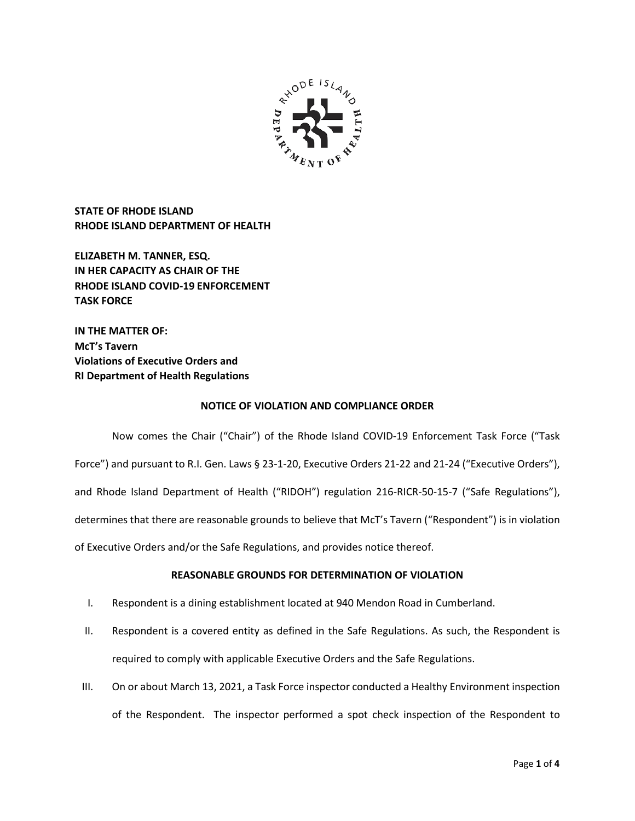

**STATE OF RHODE ISLAND RHODE ISLAND DEPARTMENT OF HEALTH**

**ELIZABETH M. TANNER, ESQ. IN HER CAPACITY AS CHAIR OF THE RHODE ISLAND COVID-19 ENFORCEMENT TASK FORCE** 

**IN THE MATTER OF: McT's Tavern Violations of Executive Orders and RI Department of Health Regulations**

## **NOTICE OF VIOLATION AND COMPLIANCE ORDER**

Now comes the Chair ("Chair") of the Rhode Island COVID-19 Enforcement Task Force ("Task Force") and pursuant to R.I. Gen. Laws § 23-1-20, Executive Orders 21-22 and 21-24 ("Executive Orders"), and Rhode Island Department of Health ("RIDOH") regulation 216-RICR-50-15-7 ("Safe Regulations"), determines that there are reasonable grounds to believe that McT's Tavern ("Respondent") is in violation of Executive Orders and/or the Safe Regulations, and provides notice thereof.

## **REASONABLE GROUNDS FOR DETERMINATION OF VIOLATION**

- I. Respondent is a dining establishment located at 940 Mendon Road in Cumberland.
- II. Respondent is a covered entity as defined in the Safe Regulations. As such, the Respondent is required to comply with applicable Executive Orders and the Safe Regulations.
- III. On or about March 13, 2021, a Task Force inspector conducted a Healthy Environment inspection of the Respondent. The inspector performed a spot check inspection of the Respondent to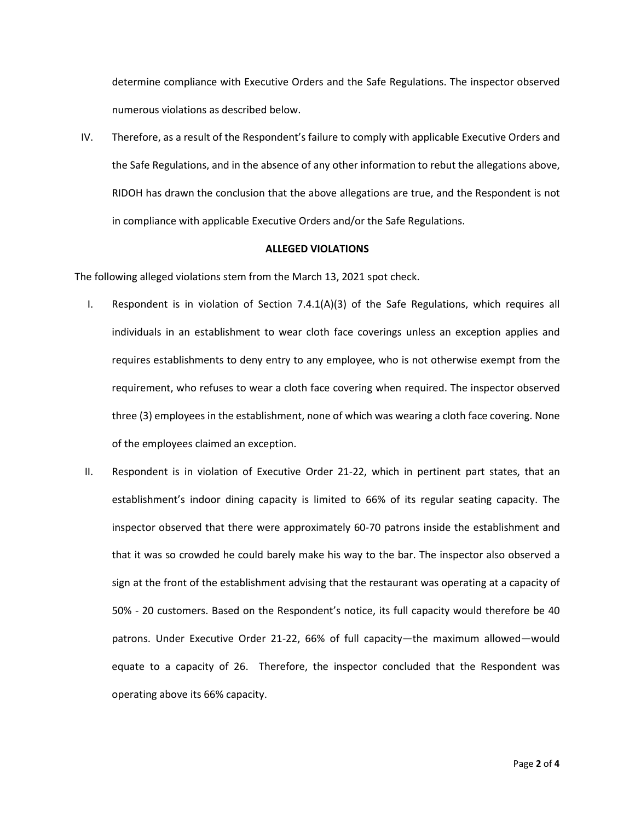determine compliance with Executive Orders and the Safe Regulations. The inspector observed numerous violations as described below.

IV. Therefore, as a result of the Respondent's failure to comply with applicable Executive Orders and the Safe Regulations, and in the absence of any other information to rebut the allegations above, RIDOH has drawn the conclusion that the above allegations are true, and the Respondent is not in compliance with applicable Executive Orders and/or the Safe Regulations.

#### **ALLEGED VIOLATIONS**

The following alleged violations stem from the March 13, 2021 spot check.

- I. Respondent is in violation of Section 7.4.1(A)(3) of the Safe Regulations, which requires all individuals in an establishment to wear cloth face coverings unless an exception applies and requires establishments to deny entry to any employee, who is not otherwise exempt from the requirement, who refuses to wear a cloth face covering when required. The inspector observed three (3) employees in the establishment, none of which was wearing a cloth face covering. None of the employees claimed an exception.
- II. Respondent is in violation of Executive Order 21-22, which in pertinent part states, that an establishment's indoor dining capacity is limited to 66% of its regular seating capacity. The inspector observed that there were approximately 60-70 patrons inside the establishment and that it was so crowded he could barely make his way to the bar. The inspector also observed a sign at the front of the establishment advising that the restaurant was operating at a capacity of 50% - 20 customers. Based on the Respondent's notice, its full capacity would therefore be 40 patrons. Under Executive Order 21-22, 66% of full capacity—the maximum allowed—would equate to a capacity of 26. Therefore, the inspector concluded that the Respondent was operating above its 66% capacity.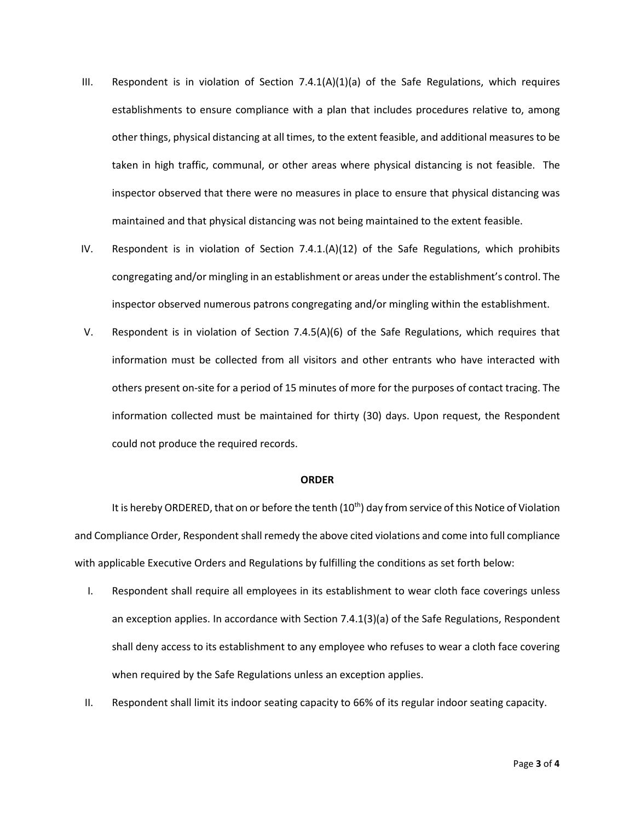- III. Respondent is in violation of Section  $7.4.1(A)(1)(a)$  of the Safe Regulations, which requires establishments to ensure compliance with a plan that includes procedures relative to, among other things, physical distancing at all times, to the extent feasible, and additional measures to be taken in high traffic, communal, or other areas where physical distancing is not feasible. The inspector observed that there were no measures in place to ensure that physical distancing was maintained and that physical distancing was not being maintained to the extent feasible.
- IV. Respondent is in violation of Section 7.4.1.(A)(12) of the Safe Regulations, which prohibits congregating and/or mingling in an establishment or areas under the establishment's control. The inspector observed numerous patrons congregating and/or mingling within the establishment.
- V. Respondent is in violation of Section 7.4.5(A)(6) of the Safe Regulations, which requires that information must be collected from all visitors and other entrants who have interacted with others present on-site for a period of 15 minutes of more for the purposes of contact tracing. The information collected must be maintained for thirty (30) days. Upon request, the Respondent could not produce the required records.

### **ORDER**

It is hereby ORDERED, that on or before the tenth (10<sup>th</sup>) day from service of this Notice of Violation and Compliance Order, Respondent shall remedy the above cited violations and come into full compliance with applicable Executive Orders and Regulations by fulfilling the conditions as set forth below:

- I. Respondent shall require all employees in its establishment to wear cloth face coverings unless an exception applies. In accordance with Section 7.4.1(3)(a) of the Safe Regulations, Respondent shall deny access to its establishment to any employee who refuses to wear a cloth face covering when required by the Safe Regulations unless an exception applies.
- II. Respondent shall limit its indoor seating capacity to 66% of its regular indoor seating capacity.